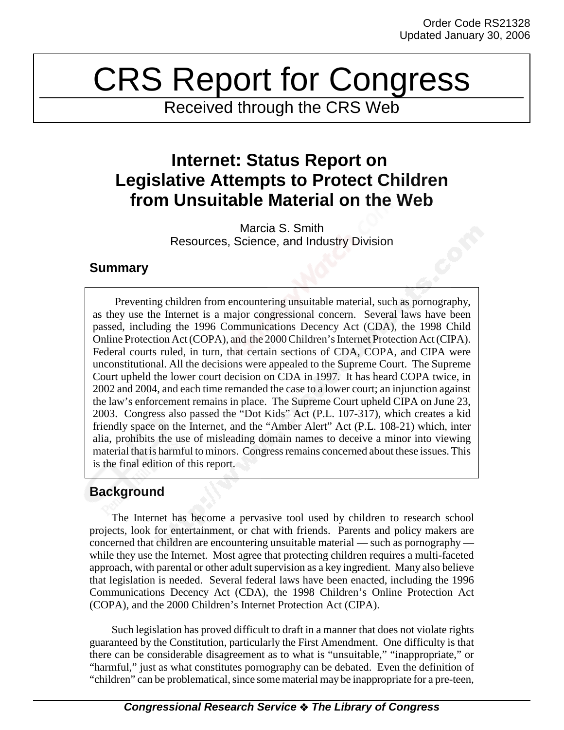# CRS Report for Congress

Received through the CRS Web

# **Internet: Status Report on Legislative Attempts to Protect Children from Unsuitable Material on the Web**

Marcia S. Smith Resources, Science, and Industry Division

# **Summary**

Preventing children from encountering unsuitable material, such as pornography, as they use the Internet is a major congressional concern. Several laws have been passed, including the 1996 Communications Decency Act (CDA), the 1998 Child Online Protection Act (COPA), and the 2000 Children's Internet Protection Act (CIPA). Federal courts ruled, in turn, that certain sections of CDA, COPA, and CIPA were unconstitutional. All the decisions were appealed to the Supreme Court. The Supreme Court upheld the lower court decision on CDA in 1997. It has heard COPA twice, in 2002 and 2004, and each time remanded the case to a lower court; an injunction against the law's enforcement remains in place. The Supreme Court upheld CIPA on June 23, 2003. Congress also passed the "Dot Kids" Act (P.L. 107-317), which creates a kid friendly space on the Internet, and the "Amber Alert" Act (P.L. 108-21) which, inter alia, prohibits the use of misleading domain names to deceive a minor into viewing material that is harmful to minors. Congress remains concerned about these issues. This is the final edition of this report.

# **Background**

The Internet has become a pervasive tool used by children to research school projects, look for entertainment, or chat with friends. Parents and policy makers are concerned that children are encountering unsuitable material — such as pornography while they use the Internet. Most agree that protecting children requires a multi-faceted approach, with parental or other adult supervision as a key ingredient. Many also believe that legislation is needed. Several federal laws have been enacted, including the 1996 Communications Decency Act (CDA), the 1998 Children's Online Protection Act (COPA), and the 2000 Children's Internet Protection Act (CIPA).

Such legislation has proved difficult to draft in a manner that does not violate rights guaranteed by the Constitution, particularly the First Amendment. One difficulty is that there can be considerable disagreement as to what is "unsuitable," "inappropriate," or "harmful," just as what constitutes pornography can be debated. Even the definition of "children" can be problematical, since some material may be inappropriate for a pre-teen,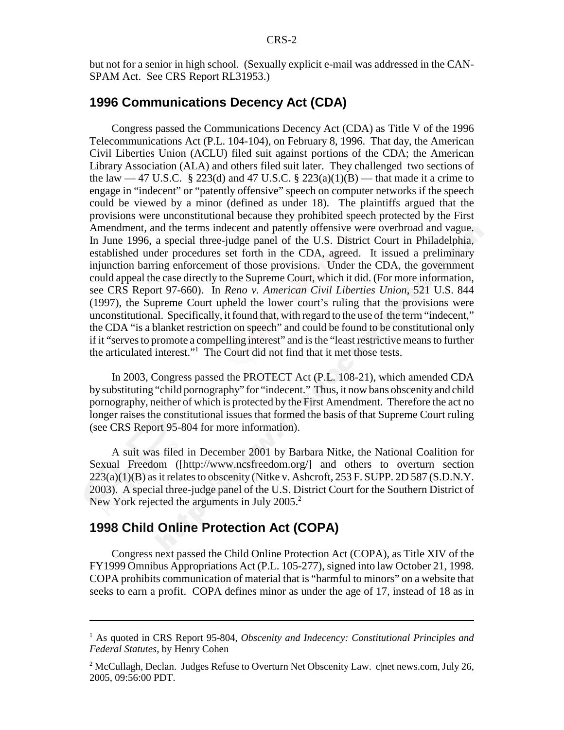but not for a senior in high school. (Sexually explicit e-mail was addressed in the CAN-SPAM Act. See CRS Report RL31953.)

# **1996 Communications Decency Act (CDA)**

Congress passed the Communications Decency Act (CDA) as Title V of the 1996 Telecommunications Act (P.L. 104-104), on February 8, 1996. That day, the American Civil Liberties Union (ACLU) filed suit against portions of the CDA; the American Library Association (ALA) and others filed suit later. They challenged two sections of the law  $-47$  U.S.C. § 223(d) and 47 U.S.C. § 223(a)(1)(B) — that made it a crime to engage in "indecent" or "patently offensive" speech on computer networks if the speech could be viewed by a minor (defined as under 18). The plaintiffs argued that the provisions were unconstitutional because they prohibited speech protected by the First Amendment, and the terms indecent and patently offensive were overbroad and vague. In June 1996, a special three-judge panel of the U.S. District Court in Philadelphia, established under procedures set forth in the CDA, agreed. It issued a preliminary injunction barring enforcement of those provisions. Under the CDA, the government could appeal the case directly to the Supreme Court, which it did. (For more information, see CRS Report 97-660). In *Reno v. American Civil Liberties Union*, 521 U.S. 844 (1997), the Supreme Court upheld the lower court's ruling that the provisions were unconstitutional. Specifically, it found that, with regard to the use of the term "indecent," the CDA "is a blanket restriction on speech" and could be found to be constitutional only if it "serves to promote a compelling interest" and is the "least restrictive means to further the articulated interest."1 The Court did not find that it met those tests.

In 2003, Congress passed the PROTECT Act (P.L. 108-21), which amended CDA by substituting "child pornography" for "indecent." Thus, it now bans obscenity and child pornography, neither of which is protected by the First Amendment. Therefore the act no longer raises the constitutional issues that formed the basis of that Supreme Court ruling (see CRS Report 95-804 for more information).

A suit was filed in December 2001 by Barbara Nitke, the National Coalition for Sexual Freedom ([http://www.ncsfreedom.org/] and others to overturn section  $223(a)(1)(B)$  as it relates to obscenity (Nitke v. Ashcroft, 253 F. SUPP. 2D 587 (S.D.N.Y.) 2003). A special three-judge panel of the U.S. District Court for the Southern District of New York rejected the arguments in July 2005.<sup>2</sup>

#### **1998 Child Online Protection Act (COPA)**

Congress next passed the Child Online Protection Act (COPA), as Title XIV of the FY1999 Omnibus Appropriations Act (P.L. 105-277), signed into law October 21, 1998. COPA prohibits communication of material that is "harmful to minors" on a website that seeks to earn a profit. COPA defines minor as under the age of 17, instead of 18 as in

<sup>&</sup>lt;sup>1</sup> As quoted in CRS Report 95-804, *Obscenity and Indecency: Constitutional Principles and Federal Statutes*, by Henry Cohen

 $^2$  McCullagh, Declan. Judges Refuse to Overturn Net Obscenity Law. c|net news.com, July 26, 2005, 09:56:00 PDT.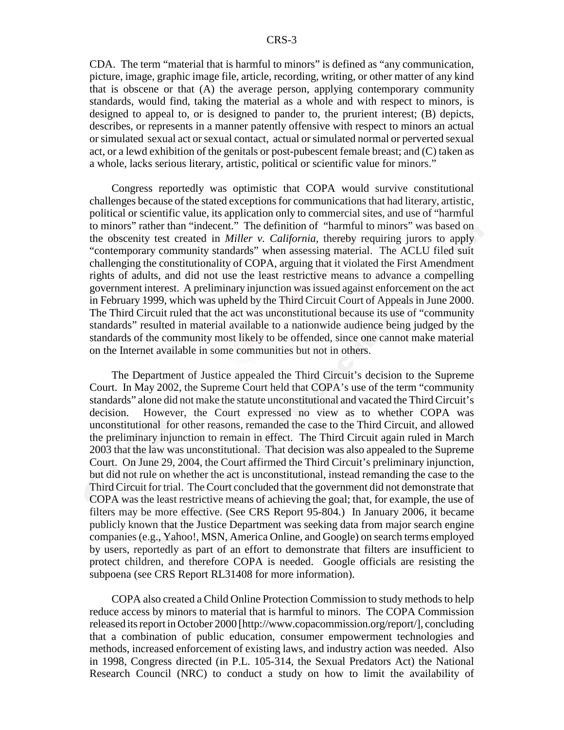CDA. The term "material that is harmful to minors" is defined as "any communication, picture, image, graphic image file, article, recording, writing, or other matter of any kind that is obscene or that (A) the average person, applying contemporary community standards, would find, taking the material as a whole and with respect to minors, is designed to appeal to, or is designed to pander to, the prurient interest; (B) depicts, describes, or represents in a manner patently offensive with respect to minors an actual or simulated sexual act or sexual contact, actual or simulated normal or perverted sexual act, or a lewd exhibition of the genitals or post-pubescent female breast; and (C) taken as a whole, lacks serious literary, artistic, political or scientific value for minors."

Congress reportedly was optimistic that COPA would survive constitutional challenges because of the stated exceptions for communications that had literary, artistic, political or scientific value, its application only to commercial sites, and use of "harmful to minors" rather than "indecent." The definition of "harmful to minors" was based on the obscenity test created in *Miller v. California*, thereby requiring jurors to apply "contemporary community standards" when assessing material. The ACLU filed suit challenging the constitutionality of COPA, arguing that it violated the First Amendment rights of adults, and did not use the least restrictive means to advance a compelling government interest. A preliminary injunction was issued against enforcement on the act in February 1999, which was upheld by the Third Circuit Court of Appeals in June 2000. The Third Circuit ruled that the act was unconstitutional because its use of "community standards" resulted in material available to a nationwide audience being judged by the standards of the community most likely to be offended, since one cannot make material on the Internet available in some communities but not in others.

The Department of Justice appealed the Third Circuit's decision to the Supreme Court. In May 2002, the Supreme Court held that COPA's use of the term "community standards" alone did not make the statute unconstitutional and vacated the Third Circuit's decision. However, the Court expressed no view as to whether COPA was unconstitutional for other reasons, remanded the case to the Third Circuit, and allowed the preliminary injunction to remain in effect. The Third Circuit again ruled in March 2003 that the law was unconstitutional. That decision was also appealed to the Supreme Court. On June 29, 2004, the Court affirmed the Third Circuit's preliminary injunction, but did not rule on whether the act is unconstitutional, instead remanding the case to the Third Circuit for trial. The Court concluded that the government did not demonstrate that COPA was the least restrictive means of achieving the goal; that, for example, the use of filters may be more effective. (See CRS Report 95-804.) In January 2006, it became publicly known that the Justice Department was seeking data from major search engine companies (e.g., Yahoo!, MSN, America Online, and Google) on search terms employed by users, reportedly as part of an effort to demonstrate that filters are insufficient to protect children, and therefore COPA is needed. Google officials are resisting the subpoena (see CRS Report RL31408 for more information).

COPA also created a Child Online Protection Commission to study methods to help reduce access by minors to material that is harmful to minors. The COPA Commission released its report in October 2000 [http://www.copacommission.org/report/], concluding that a combination of public education, consumer empowerment technologies and methods, increased enforcement of existing laws, and industry action was needed. Also in 1998, Congress directed (in P.L. 105-314, the Sexual Predators Act) the National Research Council (NRC) to conduct a study on how to limit the availability of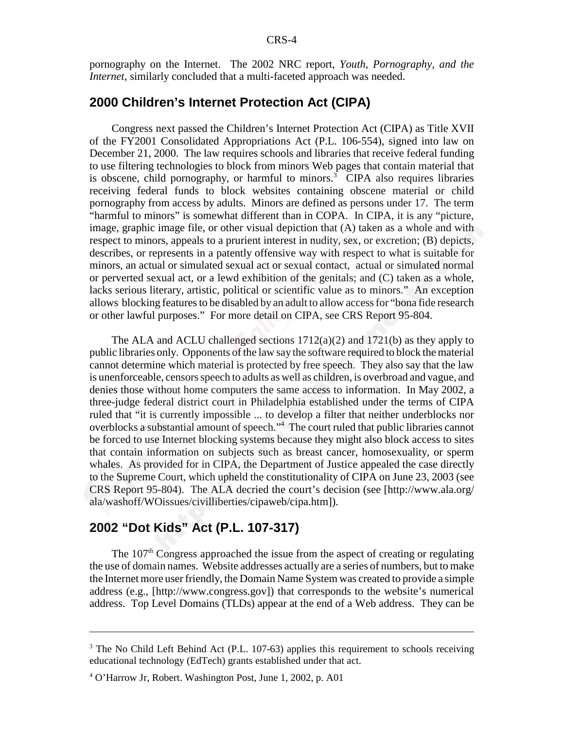pornography on the Internet. The 2002 NRC report, *Youth, Pornography, and the Internet*, similarly concluded that a multi-faceted approach was needed.

#### **2000 Children's Internet Protection Act (CIPA)**

Congress next passed the Children's Internet Protection Act (CIPA) as Title XVII of the FY2001 Consolidated Appropriations Act (P.L. 106-554), signed into law on December 21, 2000. The law requires schools and libraries that receive federal funding to use filtering technologies to block from minors Web pages that contain material that is obscene, child pornography, or harmful to minors.<sup>3</sup> CIPA also requires libraries receiving federal funds to block websites containing obscene material or child pornography from access by adults. Minors are defined as persons under 17. The term "harmful to minors" is somewhat different than in COPA. In CIPA, it is any "picture, image, graphic image file, or other visual depiction that (A) taken as a whole and with respect to minors, appeals to a prurient interest in nudity, sex, or excretion; (B) depicts, describes, or represents in a patently offensive way with respect to what is suitable for minors, an actual or simulated sexual act or sexual contact, actual or simulated normal or perverted sexual act, or a lewd exhibition of the genitals; and (C) taken as a whole, lacks serious literary, artistic, political or scientific value as to minors." An exception allows blocking features to be disabled by an adult to allow access for "bona fide research or other lawful purposes." For more detail on CIPA, see CRS Report 95-804.

The ALA and ACLU challenged sections  $1712(a)(2)$  and  $1721(b)$  as they apply to public libraries only. Opponents of the law say the software required to block the material cannot determine which material is protected by free speech. They also say that the law is unenforceable, censors speech to adults as well as children, is overbroad and vague, and denies those without home computers the same access to information. In May 2002, a three-judge federal district court in Philadelphia established under the terms of CIPA ruled that "it is currently impossible ... to develop a filter that neither underblocks nor overblocks a substantial amount of speech."<sup>4</sup> The court ruled that public libraries cannot be forced to use Internet blocking systems because they might also block access to sites that contain information on subjects such as breast cancer, homosexuality, or sperm whales. As provided for in CIPA, the Department of Justice appealed the case directly to the Supreme Court, which upheld the constitutionality of CIPA on June 23, 2003 (see CRS Report 95-804). The ALA decried the court's decision (see [http://www.ala.org/ ala/washoff/WOissues/civilliberties/cipaweb/cipa.htm]).

### **2002 "Dot Kids" Act (P.L. 107-317)**

The 107<sup>th</sup> Congress approached the issue from the aspect of creating or regulating the use of domain names. Website addresses actually are a series of numbers, but to make the Internet more user friendly, the Domain Name System was created to provide a simple address (e.g., [http://www.congress.gov]) that corresponds to the website's numerical address. Top Level Domains (TLDs) appear at the end of a Web address. They can be

 $3$  The No Child Left Behind Act (P.L. 107-63) applies this requirement to schools receiving educational technology (EdTech) grants established under that act.

<sup>4</sup> O'Harrow Jr, Robert. Washington Post, June 1, 2002, p. A01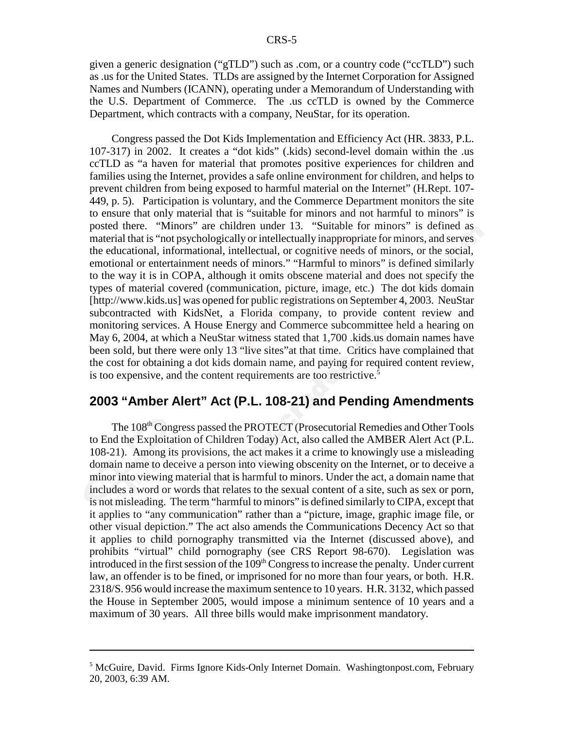given a generic designation ("gTLD") such as .com, or a country code ("ccTLD") such as .us for the United States. TLDs are assigned by the Internet Corporation for Assigned Names and Numbers (ICANN), operating under a Memorandum of Understanding with the U.S. Department of Commerce. The .us ccTLD is owned by the Commerce Department, which contracts with a company, NeuStar, for its operation.

Congress passed the Dot Kids Implementation and Efficiency Act (HR. 3833, P.L. 107-317) in 2002. It creates a "dot kids" (.kids) second-level domain within the .us ccTLD as "a haven for material that promotes positive experiences for children and families using the Internet, provides a safe online environment for children, and helps to prevent children from being exposed to harmful material on the Internet" (H.Rept. 107- 449, p. 5). Participation is voluntary, and the Commerce Department monitors the site to ensure that only material that is "suitable for minors and not harmful to minors" is posted there. "Minors" are children under 13. "Suitable for minors" is defined as material that is "not psychologically or intellectually inappropriate for minors, and serves the educational, informational, intellectual, or cognitive needs of minors, or the social, emotional or entertainment needs of minors." "Harmful to minors" is defined similarly to the way it is in COPA, although it omits obscene material and does not specify the types of material covered (communication, picture, image, etc.) The dot kids domain [http://www.kids.us] was opened for public registrations on September 4, 2003. NeuStar subcontracted with KidsNet, a Florida company, to provide content review and monitoring services. A House Energy and Commerce subcommittee held a hearing on May 6, 2004, at which a NeuStar witness stated that 1,700 .kids.us domain names have been sold, but there were only 13 "live sites"at that time. Critics have complained that the cost for obtaining a dot kids domain name, and paying for required content review, is too expensive, and the content requirements are too restrictive.<sup>5</sup>

# **2003 "Amber Alert" Act (P.L. 108-21) and Pending Amendments**

The 108th Congress passed the PROTECT (Prosecutorial Remedies and Other Tools to End the Exploitation of Children Today) Act, also called the AMBER Alert Act (P.L. 108-21). Among its provisions, the act makes it a crime to knowingly use a misleading domain name to deceive a person into viewing obscenity on the Internet, or to deceive a minor into viewing material that is harmful to minors. Under the act, a domain name that includes a word or words that relates to the sexual content of a site, such as sex or porn, is not misleading. The term "harmful to minors" is defined similarly to CIPA, except that it applies to "any communication" rather than a "picture, image, graphic image file, or other visual depiction." The act also amends the Communications Decency Act so that it applies to child pornography transmitted via the Internet (discussed above), and prohibits "virtual" child pornography (see CRS Report 98-670). Legislation was introduced in the first session of the  $109<sup>th</sup>$  Congress to increase the penalty. Under current law, an offender is to be fined, or imprisoned for no more than four years, or both. H.R. 2318/S. 956 would increase the maximum sentence to 10 years. H.R. 3132, which passed the House in September 2005, would impose a minimum sentence of 10 years and a maximum of 30 years. All three bills would make imprisonment mandatory.

<sup>&</sup>lt;sup>5</sup> McGuire, David. Firms Ignore Kids-Only Internet Domain. Washingtonpost.com, February 20, 2003, 6:39 AM.